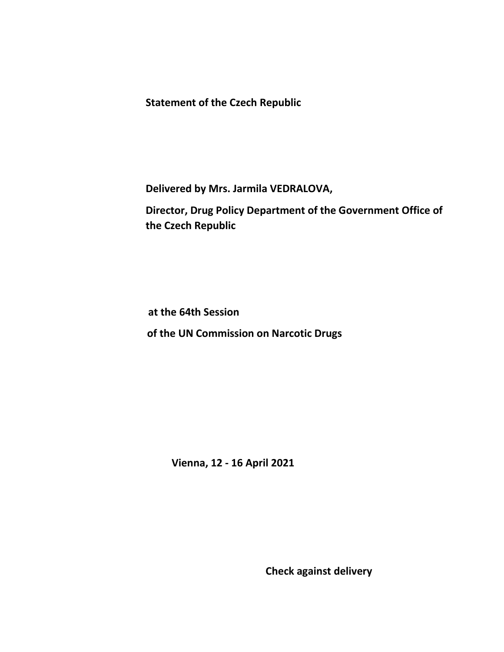**Statement of the Czech Republic**

**Delivered by Mrs. Jarmila VEDRALOVA,** 

**Director, Drug Policy Department of the Government Office of the Czech Republic**

**at the 64th Session**

**of the UN Commission on Narcotic Drugs**

 **Vienna, 12 - 16 April 2021**

**Check against delivery**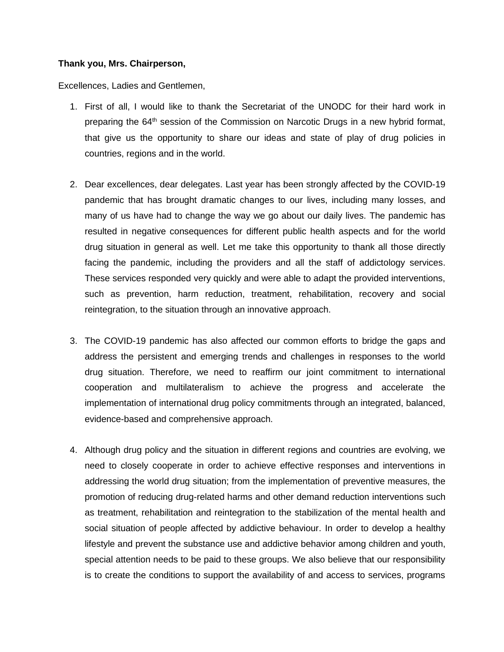## **Thank you, Mrs. Chairperson,**

Excellences, Ladies and Gentlemen,

- 1. First of all, I would like to thank the Secretariat of the UNODC for their hard work in preparing the 64<sup>th</sup> session of the Commission on Narcotic Drugs in a new hybrid format, that give us the opportunity to share our ideas and state of play of drug policies in countries, regions and in the world.
- 2. Dear excellences, dear delegates. Last year has been strongly affected by the COVID-19 pandemic that has brought dramatic changes to our lives, including many losses, and many of us have had to change the way we go about our daily lives. The pandemic has resulted in negative consequences for different public health aspects and for the world drug situation in general as well. Let me take this opportunity to thank all those directly facing the pandemic, including the providers and all the staff of addictology services. These services responded very quickly and were able to adapt the provided interventions, such as prevention, harm reduction, treatment, rehabilitation, recovery and social reintegration, to the situation through an innovative approach.
- 3. The COVID-19 pandemic has also affected our common efforts to bridge the gaps and address the persistent and emerging trends and challenges in responses to the world drug situation. Therefore, we need to reaffirm our joint commitment to international cooperation and multilateralism to achieve the progress and accelerate the implementation of international drug policy commitments through an integrated, balanced, evidence-based and comprehensive approach.
- 4. Although drug policy and the situation in different regions and countries are evolving, we need to closely cooperate in order to achieve effective responses and interventions in addressing the world drug situation; from the implementation of preventive measures, the promotion of reducing drug-related harms and other demand reduction interventions such as treatment, rehabilitation and reintegration to the stabilization of the mental health and social situation of people affected by addictive behaviour. In order to develop a healthy lifestyle and prevent the substance use and addictive behavior among children and youth, special attention needs to be paid to these groups. We also believe that our responsibility is to create the conditions to support the availability of and access to services, programs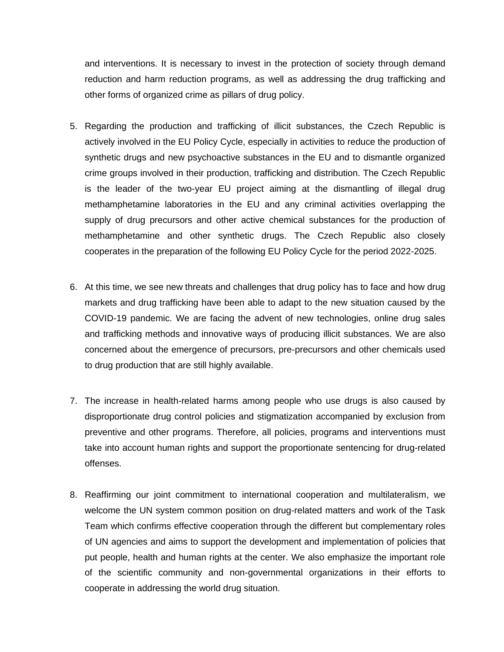and interventions. It is necessary to invest in the protection of society through demand reduction and harm reduction programs, as well as addressing the drug trafficking and other forms of organized crime as pillars of drug policy.

- 5. Regarding the production and trafficking of illicit substances, the Czech Republic is actively involved in the EU Policy Cycle, especially in activities to reduce the production of synthetic drugs and new psychoactive substances in the EU and to dismantle organized crime groups involved in their production, trafficking and distribution. The Czech Republic is the leader of the two-year EU project aiming at the dismantling of illegal drug methamphetamine laboratories in the EU and any criminal activities overlapping the supply of drug precursors and other active chemical substances for the production of methamphetamine and other synthetic drugs. The Czech Republic also closely cooperates in the preparation of the following EU Policy Cycle for the period 2022-2025.
- 6. At this time, we see new threats and challenges that drug policy has to face and how drug markets and drug trafficking have been able to adapt to the new situation caused by the COVID-19 pandemic. We are facing the advent of new technologies, online drug sales and trafficking methods and innovative ways of producing illicit substances. We are also concerned about the emergence of precursors, pre-precursors and other chemicals used to drug production that are still highly available.
- 7. The increase in health-related harms among people who use drugs is also caused by disproportionate drug control policies and stigmatization accompanied by exclusion from preventive and other programs. Therefore, all policies, programs and interventions must take into account human rights and support the proportionate sentencing for drug-related offenses.
- 8. Reaffirming our joint commitment to international cooperation and multilateralism, we welcome the UN system common position on drug-related matters and work of the Task Team which confirms effective cooperation through the different but complementary roles of UN agencies and aims to support the development and implementation of policies that put people, health and human rights at the center. We also emphasize the important role of the scientific community and non-governmental organizations in their efforts to cooperate in addressing the world drug situation.